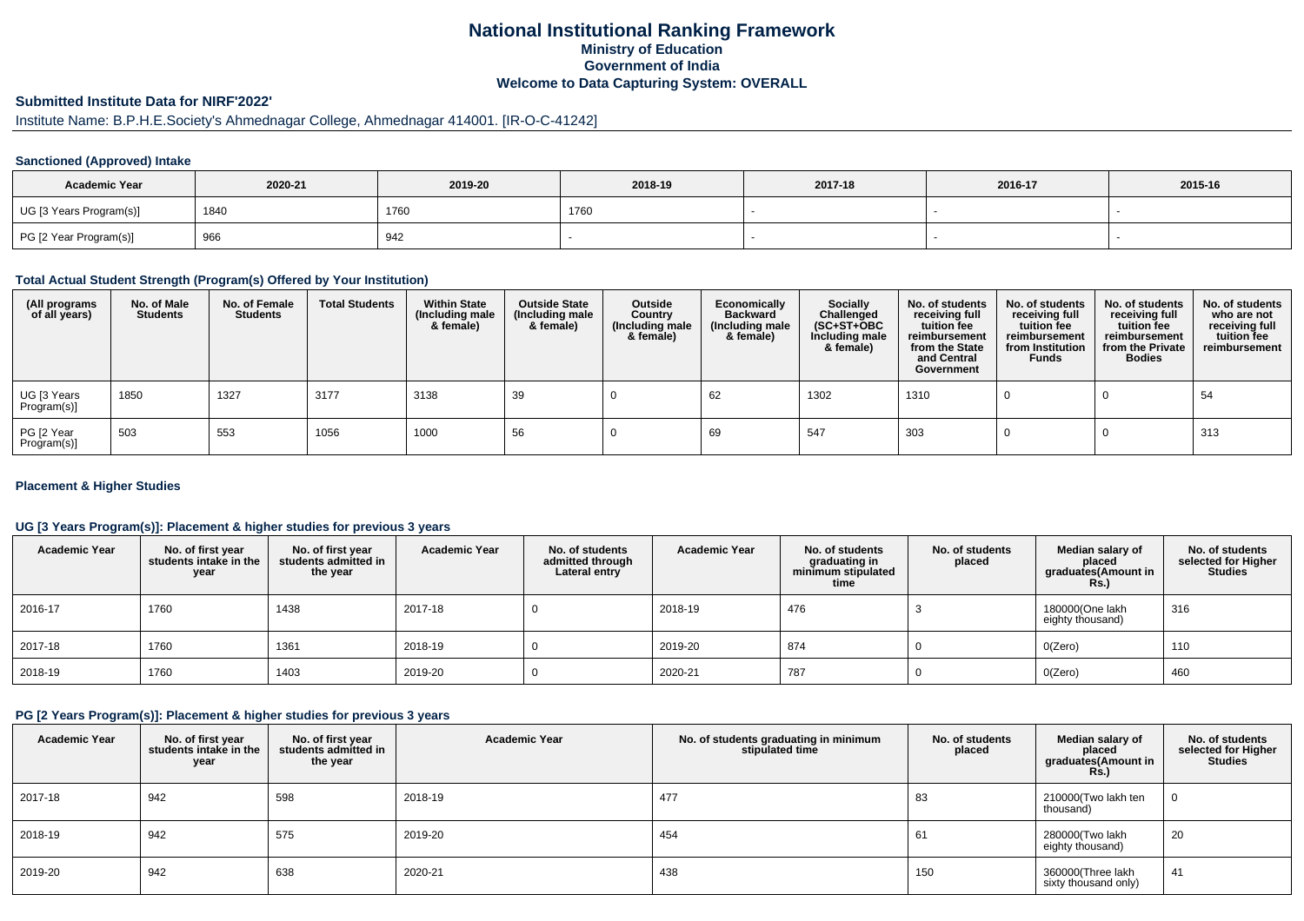## **National Institutional Ranking FrameworkMinistry of Education Government of IndiaWelcome to Data Capturing System: OVERALL**

# **Submitted Institute Data for NIRF'2022'**

# Institute Name: B.P.H.E.Society's Ahmednagar College, Ahmednagar 414001. [IR-O-C-41242]

## **Sanctioned (Approved) Intake**

| <b>Academic Year</b>    | 2020-21 | 2019-20 | 2018-19 | 2017-18 | 2016-17 | 2015-16 |
|-------------------------|---------|---------|---------|---------|---------|---------|
| UG [3 Years Program(s)] | 1840    | 1760    | 1760    |         |         |         |
| PG [2 Year Program(s)]  | 966     | 942     |         |         |         |         |

#### **Total Actual Student Strength (Program(s) Offered by Your Institution)**

| (All programs<br>of all years) | No. of Male<br><b>Students</b> | No. of Female<br><b>Students</b> | <b>Total Students</b> | <b>Within State</b><br>(Including male<br>& female) | <b>Outside State</b><br>(Including male<br>& female) | Outside<br>Country<br>(Including male<br>& female) | Economically<br><b>Backward</b><br>(Including male<br>& female) | <b>Socially</b><br>Challenged<br>$(SC+ST+OBC)$<br>Including male<br>& female) | No. of students<br>receiving full<br>tuition fee<br>reimbursement<br>from the State<br>and Central<br>Government | No. of students<br>receiving full<br>tuition fee<br>reimbursement<br>from Institution<br><b>Funds</b> | No. of students<br>receiving full<br>tuition fee<br>reimbursement<br>from the Private<br><b>Bodies</b> | No. of students<br>who are not<br>receiving full<br>tuition fee<br>reimbursement |
|--------------------------------|--------------------------------|----------------------------------|-----------------------|-----------------------------------------------------|------------------------------------------------------|----------------------------------------------------|-----------------------------------------------------------------|-------------------------------------------------------------------------------|------------------------------------------------------------------------------------------------------------------|-------------------------------------------------------------------------------------------------------|--------------------------------------------------------------------------------------------------------|----------------------------------------------------------------------------------|
| UG [3 Years<br>Program(s)]     | 1850                           | 1327                             | 3177                  | 3138                                                | 39                                                   |                                                    | 62                                                              | 1302                                                                          | 1310                                                                                                             |                                                                                                       |                                                                                                        | 54                                                                               |
| PG [2 Year<br>Program(s)]      | 503                            | 553                              | 1056                  | 1000                                                | 56                                                   |                                                    | 69                                                              | 547                                                                           | 303                                                                                                              |                                                                                                       |                                                                                                        | 313                                                                              |

## **Placement & Higher Studies**

## **UG [3 Years Program(s)]: Placement & higher studies for previous 3 years**

| <b>Academic Year</b> | No. of first year<br>students intake in the<br>year | No. of first vear<br>students admitted in<br>the year | <b>Academic Year</b> | No. of students<br>admitted through<br>Lateral entry | <b>Academic Year</b> | No. of students<br>graduating in<br>minimum stipulated<br>time | No. of students<br>placed | Median salary of<br>placed<br>graduates(Amount in<br><b>Rs.)</b> | No. of students<br>selected for Higher<br>Studies |
|----------------------|-----------------------------------------------------|-------------------------------------------------------|----------------------|------------------------------------------------------|----------------------|----------------------------------------------------------------|---------------------------|------------------------------------------------------------------|---------------------------------------------------|
| 2016-17              | 1760                                                | 1438                                                  | 2017-18              |                                                      | 2018-19              | 476                                                            |                           | 180000(One lakh<br>eighty thousand)                              | 316                                               |
| 2017-18              | 1760                                                | 1361                                                  | 2018-19              |                                                      | 2019-20              | 874                                                            |                           | O(Zero)                                                          | 110                                               |
| 2018-19              | 1760                                                | 1403                                                  | 2019-20              |                                                      | 2020-21              | 787                                                            |                           | O(Zero)                                                          | 460                                               |

#### **PG [2 Years Program(s)]: Placement & higher studies for previous 3 years**

| <b>Academic Year</b> | No. of first year<br>students intake in the<br>year | No. of first year<br>students admitted in<br>the year | <b>Academic Year</b> | No. of students graduating in minimum<br>stipulated time | No. of students<br>placed | Median salary of<br>placed<br>graduates(Amount in<br>Rs.) | No. of students<br>selected for Higher<br><b>Studies</b> |
|----------------------|-----------------------------------------------------|-------------------------------------------------------|----------------------|----------------------------------------------------------|---------------------------|-----------------------------------------------------------|----------------------------------------------------------|
| 2017-18              | 942                                                 | 598                                                   | 2018-19              | 477                                                      | 83                        | 210000(Two lakh ten<br>thousand)                          |                                                          |
| 2018-19              | 942                                                 | 575                                                   | 2019-20              | 454                                                      | 61                        | 280000(Two lakh<br>eighty thousand)                       | 20                                                       |
| 2019-20              | 942                                                 | 638                                                   | 2020-21              | 438                                                      | 150                       | 360000(Three lakh<br>sixty thousand only)                 | 41                                                       |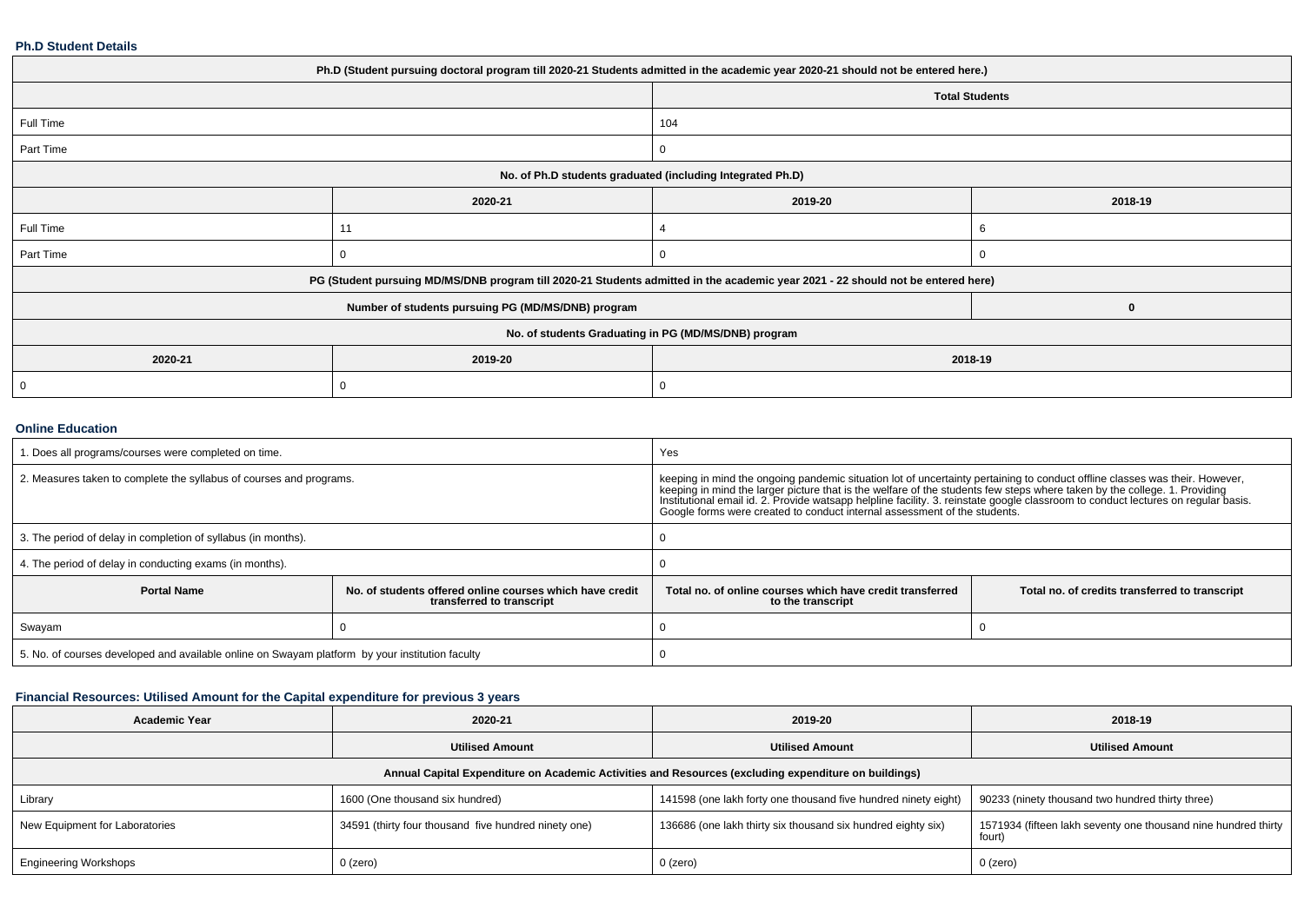#### **Ph.D Student Details**

| Ph.D (Student pursuing doctoral program till 2020-21 Students admitted in the academic year 2020-21 should not be entered here.) |                                                                                                                                  |                       |          |  |  |  |
|----------------------------------------------------------------------------------------------------------------------------------|----------------------------------------------------------------------------------------------------------------------------------|-----------------------|----------|--|--|--|
|                                                                                                                                  |                                                                                                                                  | <b>Total Students</b> |          |  |  |  |
| Full Time                                                                                                                        |                                                                                                                                  | 104                   |          |  |  |  |
| Part Time                                                                                                                        |                                                                                                                                  |                       |          |  |  |  |
| No. of Ph.D students graduated (including Integrated Ph.D)                                                                       |                                                                                                                                  |                       |          |  |  |  |
|                                                                                                                                  | 2020-21                                                                                                                          | 2019-20               | 2018-19  |  |  |  |
| Full Time                                                                                                                        | 11                                                                                                                               |                       | 6        |  |  |  |
| Part Time                                                                                                                        | 0                                                                                                                                |                       |          |  |  |  |
|                                                                                                                                  | PG (Student pursuing MD/MS/DNB program till 2020-21 Students admitted in the academic year 2021 - 22 should not be entered here) |                       |          |  |  |  |
|                                                                                                                                  | Number of students pursuing PG (MD/MS/DNB) program                                                                               |                       | $\bf{0}$ |  |  |  |
| No. of students Graduating in PG (MD/MS/DNB) program                                                                             |                                                                                                                                  |                       |          |  |  |  |
| 2020-21                                                                                                                          | 2019-20                                                                                                                          | 2018-19               |          |  |  |  |
| 0                                                                                                                                | $\Omega$                                                                                                                         |                       |          |  |  |  |
|                                                                                                                                  |                                                                                                                                  |                       |          |  |  |  |

## **Online Education**

| . Does all programs/courses were completed on time.                                             |                                                                                       | Yes                                                                                                                                                                                                                                                                                                                                                                                                                                                                        |                                                |  |
|-------------------------------------------------------------------------------------------------|---------------------------------------------------------------------------------------|----------------------------------------------------------------------------------------------------------------------------------------------------------------------------------------------------------------------------------------------------------------------------------------------------------------------------------------------------------------------------------------------------------------------------------------------------------------------------|------------------------------------------------|--|
| 2. Measures taken to complete the syllabus of courses and programs.                             |                                                                                       | keeping in mind the ongoing pandemic situation lot of uncertainty pertaining to conduct offline classes was their. However,<br>keeping in mind the larger picture that is the welfare of the students few steps where taken by the college. 1. Providing<br>Institutional email id. 2. Provide watsapp helpline facility. 3. reinstate google classroom to conduct lectures on regular basis.<br>Google forms were created to conduct internal assessment of the students. |                                                |  |
| 3. The period of delay in completion of syllabus (in months).                                   |                                                                                       |                                                                                                                                                                                                                                                                                                                                                                                                                                                                            |                                                |  |
| 4. The period of delay in conducting exams (in months).                                         |                                                                                       |                                                                                                                                                                                                                                                                                                                                                                                                                                                                            |                                                |  |
| <b>Portal Name</b>                                                                              | No. of students offered online courses which have credit<br>transferred to transcript | Total no, of online courses which have credit transferred<br>to the transcript                                                                                                                                                                                                                                                                                                                                                                                             | Total no. of credits transferred to transcript |  |
| Swayam                                                                                          |                                                                                       |                                                                                                                                                                                                                                                                                                                                                                                                                                                                            |                                                |  |
| 5. No. of courses developed and available online on Swayam platform by your institution faculty |                                                                                       |                                                                                                                                                                                                                                                                                                                                                                                                                                                                            |                                                |  |

## **Financial Resources: Utilised Amount for the Capital expenditure for previous 3 years**

| <b>Academic Year</b>                                                                                 | 2020-21                                              | 2019-20                                                        | 2018-19                                                                  |  |  |  |
|------------------------------------------------------------------------------------------------------|------------------------------------------------------|----------------------------------------------------------------|--------------------------------------------------------------------------|--|--|--|
|                                                                                                      | <b>Utilised Amount</b>                               | <b>Utilised Amount</b>                                         | <b>Utilised Amount</b>                                                   |  |  |  |
| Annual Capital Expenditure on Academic Activities and Resources (excluding expenditure on buildings) |                                                      |                                                                |                                                                          |  |  |  |
| Library                                                                                              | 1600 (One thousand six hundred)                      | 141598 (one lakh forty one thousand five hundred ninety eight) | 90233 (ninety thousand two hundred thirty three)                         |  |  |  |
| New Equipment for Laboratories                                                                       | 34591 (thirty four thousand five hundred ninety one) | 136686 (one lakh thirty six thousand six hundred eighty six)   | 1571934 (fifteen lakh seventy one thousand nine hundred thirty<br>fourt) |  |  |  |
| <b>Engineering Workshops</b>                                                                         | $0$ (zero)                                           | $0$ (zero)                                                     | 0 (zero)                                                                 |  |  |  |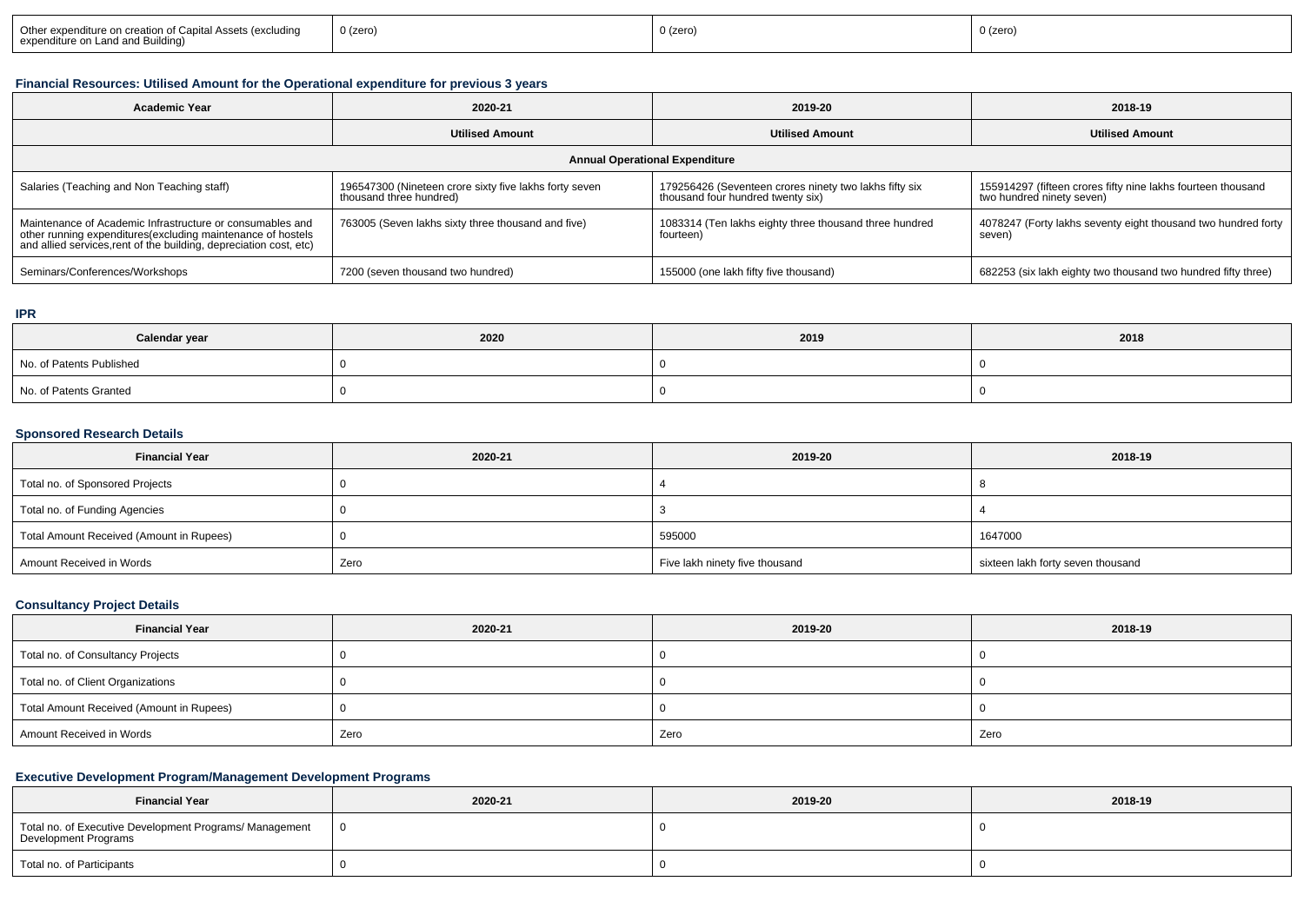## **Financial Resources: Utilised Amount for the Operational expenditure for previous 3 years**

| <b>Academic Year</b>                                                                                                                                                                           | 2020-21                                                                           | 2019-20                                                                                     | 2018-19                                                                                   |  |  |  |
|------------------------------------------------------------------------------------------------------------------------------------------------------------------------------------------------|-----------------------------------------------------------------------------------|---------------------------------------------------------------------------------------------|-------------------------------------------------------------------------------------------|--|--|--|
|                                                                                                                                                                                                | <b>Utilised Amount</b>                                                            | <b>Utilised Amount</b>                                                                      | <b>Utilised Amount</b>                                                                    |  |  |  |
| <b>Annual Operational Expenditure</b>                                                                                                                                                          |                                                                                   |                                                                                             |                                                                                           |  |  |  |
| Salaries (Teaching and Non Teaching staff)                                                                                                                                                     | 196547300 (Nineteen crore sixty five lakhs forty seven<br>thousand three hundred) | 179256426 (Seventeen crores ninety two lakhs fifty six<br>thousand four hundred twenty six) | 155914297 (fifteen crores fifty nine lakhs fourteen thousand<br>two hundred ninety seven) |  |  |  |
| Maintenance of Academic Infrastructure or consumables and<br>other running expenditures(excluding maintenance of hostels<br>and allied services, rent of the building, depreciation cost, etc) | 763005 (Seven lakhs sixty three thousand and five)                                | 1083314 (Ten lakhs eighty three thousand three hundred<br>fourteen)                         | 4078247 (Forty lakhs seventy eight thousand two hundred forty<br>seven)                   |  |  |  |
| Seminars/Conferences/Workshops                                                                                                                                                                 | 7200 (seven thousand two hundred)                                                 | 155000 (one lakh fifty five thousand)                                                       | 682253 (six lakh eighty two thousand two hundred fifty three)                             |  |  |  |

#### **IPR**

| Calendar year            | 2020 | 2019 | 2018 |
|--------------------------|------|------|------|
| No. of Patents Published |      |      |      |
| No. of Patents Granted   |      |      |      |

# **Sponsored Research Details**

| <b>Financial Year</b>                    | 2020-21 | 2019-20                        | 2018-19                           |
|------------------------------------------|---------|--------------------------------|-----------------------------------|
| Total no. of Sponsored Projects          |         |                                |                                   |
| Total no. of Funding Agencies            |         |                                |                                   |
| Total Amount Received (Amount in Rupees) |         | 595000                         | 1647000                           |
| Amount Received in Words                 | Zero    | Five lakh ninety five thousand | sixteen lakh forty seven thousand |

#### **Consultancy Project Details**

| <b>Financial Year</b>                    | 2020-21 | 2019-20 | 2018-19 |
|------------------------------------------|---------|---------|---------|
| Total no. of Consultancy Projects        |         |         |         |
| Total no. of Client Organizations        |         |         |         |
| Total Amount Received (Amount in Rupees) |         |         |         |
| Amount Received in Words                 | Zero    | Zero    | Zero    |

## **Executive Development Program/Management Development Programs**

| <b>Financial Year</b>                                                           | 2020-21 | 2019-20 | 2018-19 |  |  |
|---------------------------------------------------------------------------------|---------|---------|---------|--|--|
| Total no. of Executive Development Programs/ Management<br>Development Programs |         |         |         |  |  |
| Total no. of Participants                                                       |         |         |         |  |  |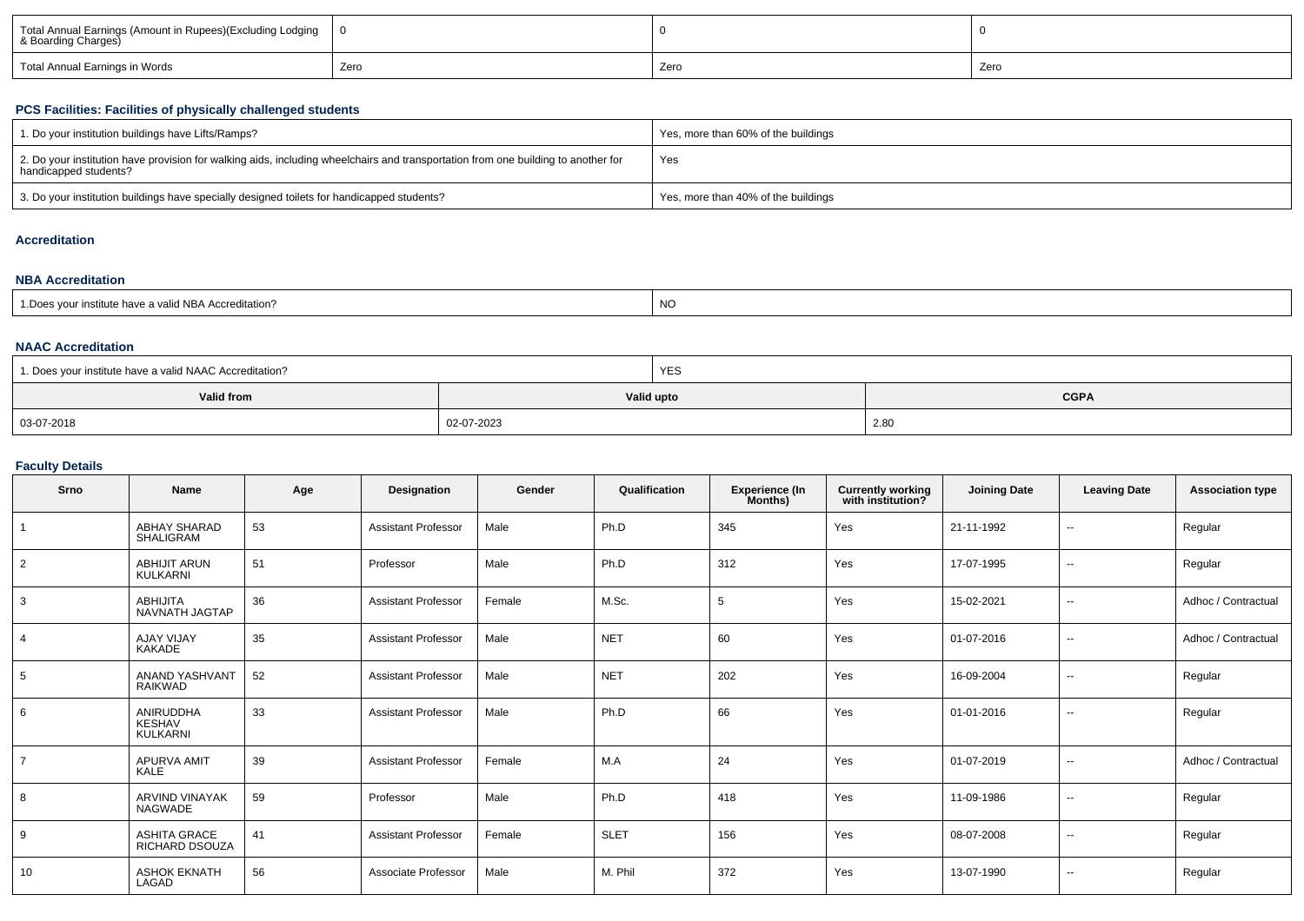| Total Annual Earnings (Amount in Rupees)(Excluding Lodging<br>& Boarding Charges) |      |      |      |  |
|-----------------------------------------------------------------------------------|------|------|------|--|
| Total Annual Earnings in Words                                                    | Zero | Zero | Zero |  |

## **PCS Facilities: Facilities of physically challenged students**

| 1. Do your institution buildings have Lifts/Ramps?                                                                                                         | Yes, more than 60% of the buildings |
|------------------------------------------------------------------------------------------------------------------------------------------------------------|-------------------------------------|
| 2. Do your institution have provision for walking aids, including wheelchairs and transportation from one building to another for<br>handicapped students? | Yes                                 |
| 3. Do your institution buildings have specially designed toilets for handicapped students?                                                                 | Yes, more than 40% of the buildings |

## **Accreditation**

## **NBA Accreditation**

| institute have a valid NBA Accreditation?<br><b>NO</b><br>1. Does your in. |
|----------------------------------------------------------------------------|
|----------------------------------------------------------------------------|

## **NAAC Accreditation**

| 1. Does your institute have a valid NAAC Accreditation? | <b>YES</b> |             |  |  |  |  |
|---------------------------------------------------------|------------|-------------|--|--|--|--|
| Valid from                                              | Valid upto | <b>CGPA</b> |  |  |  |  |
| 03-07-2018                                              | 02-07-2023 | 2.80        |  |  |  |  |

## **Faculty Details**

| Srno            | Name                                          | Age | Designation                | Gender | Qualification | <b>Experience (In</b><br>Months) | <b>Currently working</b><br>with institution? | <b>Joining Date</b> | <b>Leaving Date</b>      | <b>Association type</b> |
|-----------------|-----------------------------------------------|-----|----------------------------|--------|---------------|----------------------------------|-----------------------------------------------|---------------------|--------------------------|-------------------------|
|                 | <b>ABHAY SHARAD</b><br>SHALIGRAM              | 53  | <b>Assistant Professor</b> | Male   | Ph.D          | 345                              | Yes                                           | 21-11-1992          | $\overline{\phantom{a}}$ | Regular                 |
| $\overline{2}$  | ABHIJIT ARUN<br>KULKARNI                      | 51  | Professor                  | Male   | Ph.D          | 312                              | Yes                                           | 17-07-1995          | $\sim$                   | Regular                 |
| 3               | <b>ABHIJITA</b><br>NAVNATH JAGTAP             | 36  | <b>Assistant Professor</b> | Female | M.Sc.         | -5                               | Yes                                           | 15-02-2021          | $\sim$                   | Adhoc / Contractual     |
| $\overline{4}$  | <b>AJAY VIJAY</b><br><b>KAKADE</b>            | 35  | <b>Assistant Professor</b> | Male   | <b>NET</b>    | 60                               | Yes                                           | 01-07-2016          | $\sim$                   | Adhoc / Contractual     |
| $5\overline{5}$ | ANAND YASHVANT<br><b>RAIKWAD</b>              | 52  | <b>Assistant Professor</b> | Male   | <b>NET</b>    | 202                              | Yes                                           | 16-09-2004          | $\overline{\phantom{a}}$ | Regular                 |
| 6               | ANIRUDDHA<br><b>KESHAV</b><br><b>KULKARNI</b> | 33  | <b>Assistant Professor</b> | Male   | Ph.D          | 66                               | Yes                                           | 01-01-2016          | $\sim$                   | Regular                 |
| $\overline{7}$  | <b>APURVA AMIT</b><br>KALE                    | 39  | <b>Assistant Professor</b> | Female | M.A           | 24                               | Yes                                           | 01-07-2019          | $\overline{\phantom{a}}$ | Adhoc / Contractual     |
| 8               | <b>ARVIND VINAYAK</b><br><b>NAGWADE</b>       | 59  | Professor                  | Male   | Ph.D          | 418                              | Yes                                           | 11-09-1986          | $\overline{\phantom{a}}$ | Regular                 |
| 9               | <b>ASHITA GRACE</b><br>RICHARD DSOUZA         | 41  | <b>Assistant Professor</b> | Female | <b>SLET</b>   | 156                              | Yes                                           | 08-07-2008          | $\overline{\phantom{a}}$ | Regular                 |
| 10              | <b>ASHOK EKNATH</b><br>LAGAD                  | 56  | Associate Professor        | Male   | M. Phil       | 372                              | Yes                                           | 13-07-1990          | $\overline{\phantom{a}}$ | Regular                 |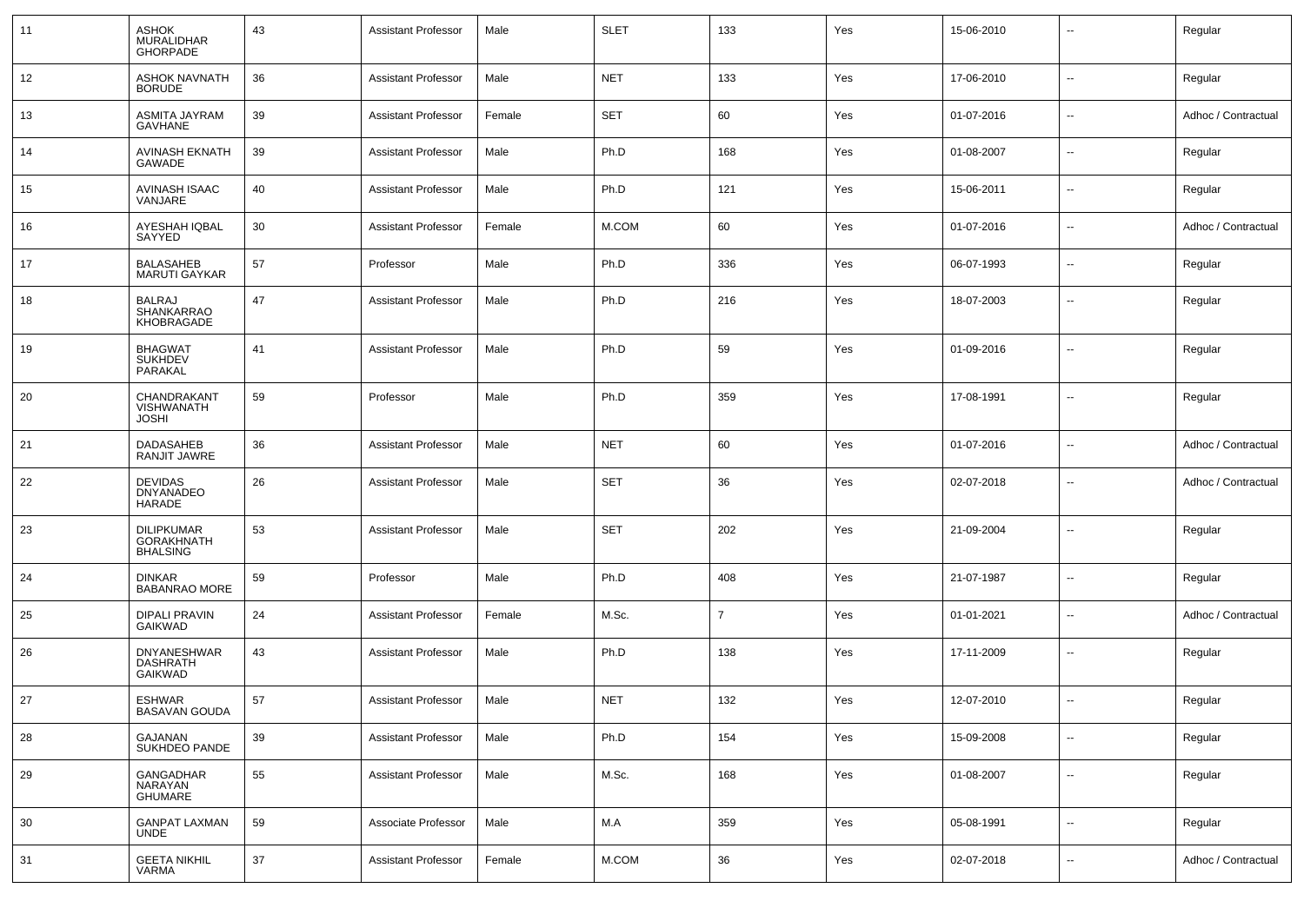| 11 | <b>ASHOK</b><br>MURALIDHAR<br><b>GHORPADE</b>             | 43 | <b>Assistant Professor</b> | Male   | <b>SLET</b> | 133 | Yes | 15-06-2010 | $\overline{\phantom{a}}$ | Regular             |
|----|-----------------------------------------------------------|----|----------------------------|--------|-------------|-----|-----|------------|--------------------------|---------------------|
| 12 | <b>ASHOK NAVNATH</b><br><b>BORUDE</b>                     | 36 | <b>Assistant Professor</b> | Male   | <b>NET</b>  | 133 | Yes | 17-06-2010 | $\overline{\phantom{a}}$ | Regular             |
| 13 | ASMITA JAYRAM<br><b>GAVHANE</b>                           | 39 | <b>Assistant Professor</b> | Female | <b>SET</b>  | 60  | Yes | 01-07-2016 | $\overline{\phantom{a}}$ | Adhoc / Contractual |
| 14 | <b>AVINASH EKNATH</b><br>GAWADE                           | 39 | <b>Assistant Professor</b> | Male   | Ph.D        | 168 | Yes | 01-08-2007 | $\overline{\phantom{a}}$ | Regular             |
| 15 | AVINASH ISAAC<br>VANJARE                                  | 40 | <b>Assistant Professor</b> | Male   | Ph.D        | 121 | Yes | 15-06-2011 | $\overline{\phantom{a}}$ | Regular             |
| 16 | AYESHAH IQBAL<br>SAYYED                                   | 30 | <b>Assistant Professor</b> | Female | M.COM       | 60  | Yes | 01-07-2016 | $\overline{\phantom{a}}$ | Adhoc / Contractual |
| 17 | <b>BALASAHEB</b><br>MARUTI GAYKAR                         | 57 | Professor                  | Male   | Ph.D        | 336 | Yes | 06-07-1993 | $\overline{\phantom{a}}$ | Regular             |
| 18 | <b>BALRAJ</b><br>SHANKARRAO<br>KHOBRAGADE                 | 47 | <b>Assistant Professor</b> | Male   | Ph.D        | 216 | Yes | 18-07-2003 | $\overline{\phantom{a}}$ | Regular             |
| 19 | <b>BHAGWAT</b><br><b>SUKHDEV</b><br>PARAKAL               | 41 | <b>Assistant Professor</b> | Male   | Ph.D        | 59  | Yes | 01-09-2016 | $\overline{\phantom{a}}$ | Regular             |
| 20 | CHANDRAKANT<br><b>VISHWANATH</b><br><b>JOSHI</b>          | 59 | Professor                  | Male   | Ph.D        | 359 | Yes | 17-08-1991 | $\overline{\phantom{a}}$ | Regular             |
| 21 | <b>DADASAHEB</b><br>RANJIT JAWRE                          | 36 | <b>Assistant Professor</b> | Male   | <b>NET</b>  | 60  | Yes | 01-07-2016 | $\overline{\phantom{a}}$ | Adhoc / Contractual |
| 22 | <b>DEVIDAS</b><br>DNYANADEO<br><b>HARADE</b>              | 26 | <b>Assistant Professor</b> | Male   | <b>SET</b>  | 36  | Yes | 02-07-2018 | $\overline{\phantom{a}}$ | Adhoc / Contractual |
| 23 | <b>DILIPKUMAR</b><br><b>GORAKHNATH</b><br><b>BHALSING</b> | 53 | <b>Assistant Professor</b> | Male   | <b>SET</b>  | 202 | Yes | 21-09-2004 | $\overline{\phantom{a}}$ | Regular             |
| 24 | DINKAR<br><b>BABANRAO MORE</b>                            | 59 | Professor                  | Male   | Ph.D        | 408 | Yes | 21-07-1987 | $\overline{\phantom{a}}$ | Regular             |
| 25 | DIPALI PRAVIN<br><b>GAIKWAD</b>                           | 24 | <b>Assistant Professor</b> | Female | M.Sc.       | 7   | Yes | 01-01-2021 | $\overline{\phantom{a}}$ | Adhoc / Contractual |
| 26 | DNYANESHWAR<br><b>DASHRATH</b><br><b>GAIKWAD</b>          | 43 | <b>Assistant Professor</b> | Male   | Ph.D        | 138 | Yes | 17-11-2009 | --                       | Regular             |
| 27 | <b>ESHWAR</b><br>BASAVAN GOUDA                            | 57 | <b>Assistant Professor</b> | Male   | <b>NET</b>  | 132 | Yes | 12-07-2010 | $\overline{\phantom{a}}$ | Regular             |
| 28 | GAJANAN<br>SUKHDEO PANDE                                  | 39 | <b>Assistant Professor</b> | Male   | Ph.D        | 154 | Yes | 15-09-2008 | $\overline{\phantom{a}}$ | Regular             |
| 29 | GANGADHAR<br>NARAYAN<br>GHUMARE                           | 55 | <b>Assistant Professor</b> | Male   | M.Sc.       | 168 | Yes | 01-08-2007 | Щ,                       | Regular             |
| 30 | <b>GANPAT LAXMAN</b><br><b>UNDE</b>                       | 59 | Associate Professor        | Male   | M.A         | 359 | Yes | 05-08-1991 | $\sim$                   | Regular             |
| 31 | <b>GEETA NIKHIL</b><br><b>VARMA</b>                       | 37 | <b>Assistant Professor</b> | Female | M.COM       | 36  | Yes | 02-07-2018 | Щ,                       | Adhoc / Contractual |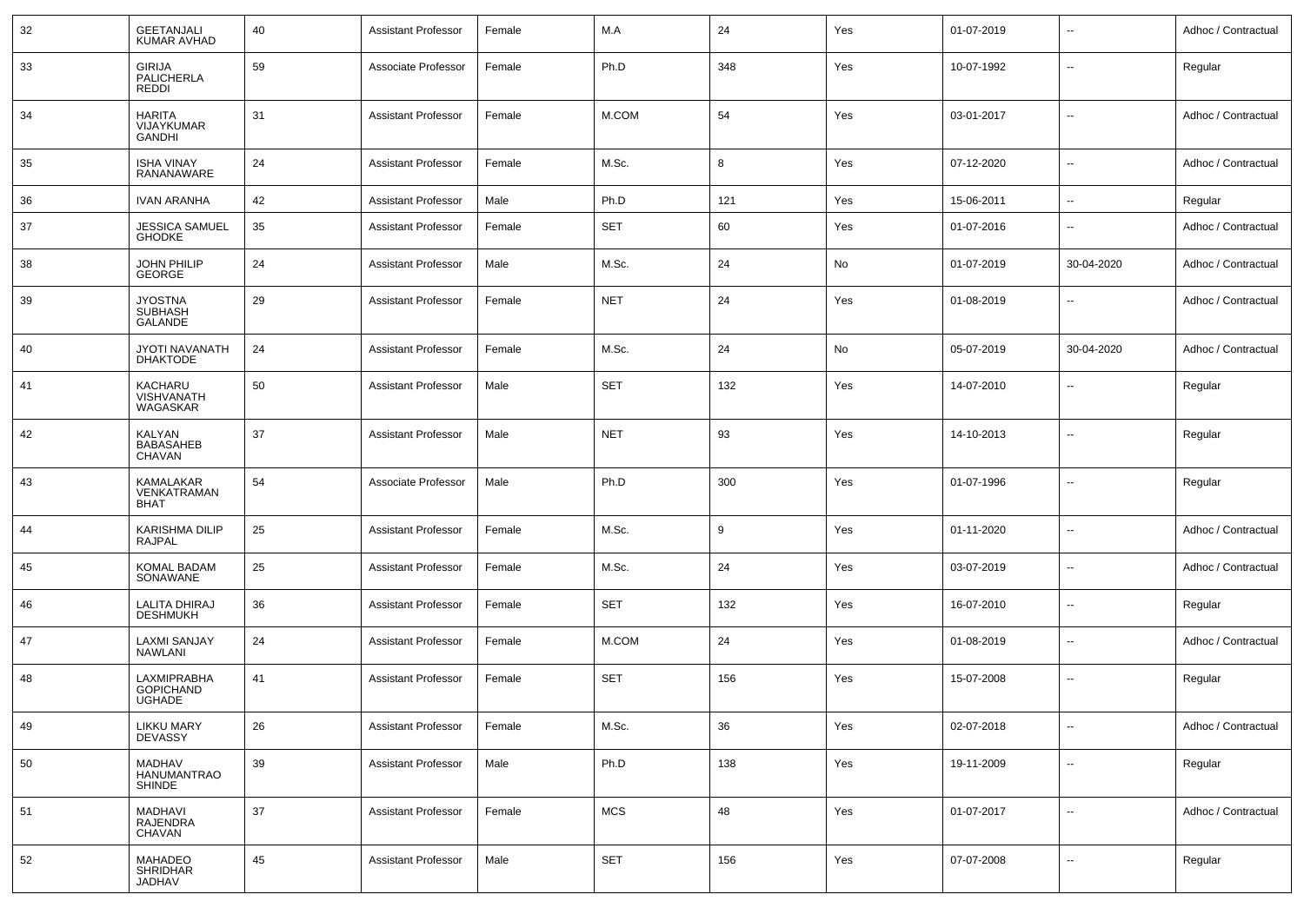| 32 | <b>GEETANJALI</b><br>KUMAR AVHAD                   | 40 | <b>Assistant Professor</b> | Female | M.A        | 24  | Yes | 01-07-2019 | $\overline{\phantom{a}}$ | Adhoc / Contractual |
|----|----------------------------------------------------|----|----------------------------|--------|------------|-----|-----|------------|--------------------------|---------------------|
| 33 | <b>GIRIJA</b><br><b>PALICHERLA</b><br><b>REDDI</b> | 59 | Associate Professor        | Female | Ph.D       | 348 | Yes | 10-07-1992 | $\overline{\phantom{a}}$ | Regular             |
| 34 | <b>HARITA</b><br>VIJAYKUMAR<br><b>GANDHI</b>       | 31 | <b>Assistant Professor</b> | Female | M.COM      | 54  | Yes | 03-01-2017 | $\mathbf{u}$             | Adhoc / Contractual |
| 35 | <b>ISHA VINAY</b><br><b>RANANAWARE</b>             | 24 | <b>Assistant Professor</b> | Female | M.Sc.      | 8   | Yes | 07-12-2020 | $\overline{\phantom{a}}$ | Adhoc / Contractual |
| 36 | <b>IVAN ARANHA</b>                                 | 42 | <b>Assistant Professor</b> | Male   | Ph.D       | 121 | Yes | 15-06-2011 | $\overline{\phantom{a}}$ | Regular             |
| 37 | <b>JESSICA SAMUEL</b><br><b>GHODKE</b>             | 35 | <b>Assistant Professor</b> | Female | <b>SET</b> | 60  | Yes | 01-07-2016 | $\mathbf{u}$             | Adhoc / Contractual |
| 38 | <b>JOHN PHILIP</b><br><b>GEORGE</b>                | 24 | <b>Assistant Professor</b> | Male   | M.Sc.      | 24  | No  | 01-07-2019 | 30-04-2020               | Adhoc / Contractual |
| 39 | <b>JYOSTNA</b><br><b>SUBHASH</b><br><b>GALANDE</b> | 29 | <b>Assistant Professor</b> | Female | <b>NET</b> | 24  | Yes | 01-08-2019 | $\mathbf{u}$             | Adhoc / Contractual |
| 40 | JYOTI NAVANATH<br><b>DHAKTODE</b>                  | 24 | <b>Assistant Professor</b> | Female | M.Sc.      | 24  | No  | 05-07-2019 | 30-04-2020               | Adhoc / Contractual |
| 41 | KACHARU<br><b>VISHVANATH</b><br>WAGASKAR           | 50 | <b>Assistant Professor</b> | Male   | <b>SET</b> | 132 | Yes | 14-07-2010 | $\overline{\phantom{a}}$ | Regular             |
| 42 | <b>KALYAN</b><br><b>BABASAHEB</b><br><b>CHAVAN</b> | 37 | <b>Assistant Professor</b> | Male   | <b>NET</b> | 93  | Yes | 14-10-2013 | $\overline{\phantom{a}}$ | Regular             |
| 43 | KAMALAKAR<br>VENKATRAMAN<br><b>BHAT</b>            | 54 | Associate Professor        | Male   | Ph.D       | 300 | Yes | 01-07-1996 | $\overline{\phantom{a}}$ | Regular             |
| 44 | <b>KARISHMA DILIP</b><br><b>RAJPAL</b>             | 25 | <b>Assistant Professor</b> | Female | M.Sc.      | 9   | Yes | 01-11-2020 | $\overline{\phantom{a}}$ | Adhoc / Contractual |
| 45 | KOMAL BADAM<br>SONAWANE                            | 25 | <b>Assistant Professor</b> | Female | M.Sc.      | 24  | Yes | 03-07-2019 | $\overline{\phantom{a}}$ | Adhoc / Contractual |
| 46 | <b>LALITA DHIRAJ</b><br><b>DESHMUKH</b>            | 36 | <b>Assistant Professor</b> | Female | <b>SET</b> | 132 | Yes | 16-07-2010 | $\overline{\phantom{a}}$ | Regular             |
| 47 | <b>LAXMI SANJAY</b><br><b>NAWLANI</b>              | 24 | <b>Assistant Professor</b> | Female | M.COM      | 24  | Yes | 01-08-2019 | $\overline{\phantom{a}}$ | Adhoc / Contractual |
| 48 | LAXMIPRABHA<br><b>GOPICHAND</b><br>UGHADE          | 41 | <b>Assistant Professor</b> | Female | <b>SET</b> | 156 | Yes | 15-07-2008 | $\overline{\phantom{a}}$ | Regular             |
| 49 | <b>LIKKU MARY</b><br><b>DEVASSY</b>                | 26 | <b>Assistant Professor</b> | Female | M.Sc.      | 36  | Yes | 02-07-2018 | $\sim$                   | Adhoc / Contractual |
| 50 | MADHAV<br>HANUMANTRAO<br><b>SHINDE</b>             | 39 | <b>Assistant Professor</b> | Male   | Ph.D       | 138 | Yes | 19-11-2009 | $\overline{\phantom{a}}$ | Regular             |
| 51 | MADHAVI<br><b>RAJENDRA</b><br>CHAVAN               | 37 | <b>Assistant Professor</b> | Female | <b>MCS</b> | 48  | Yes | 01-07-2017 | $\overline{\phantom{a}}$ | Adhoc / Contractual |
| 52 | MAHADEO<br><b>SHRIDHAR</b><br>JADHAV               | 45 | <b>Assistant Professor</b> | Male   | <b>SET</b> | 156 | Yes | 07-07-2008 | $\overline{\phantom{a}}$ | Regular             |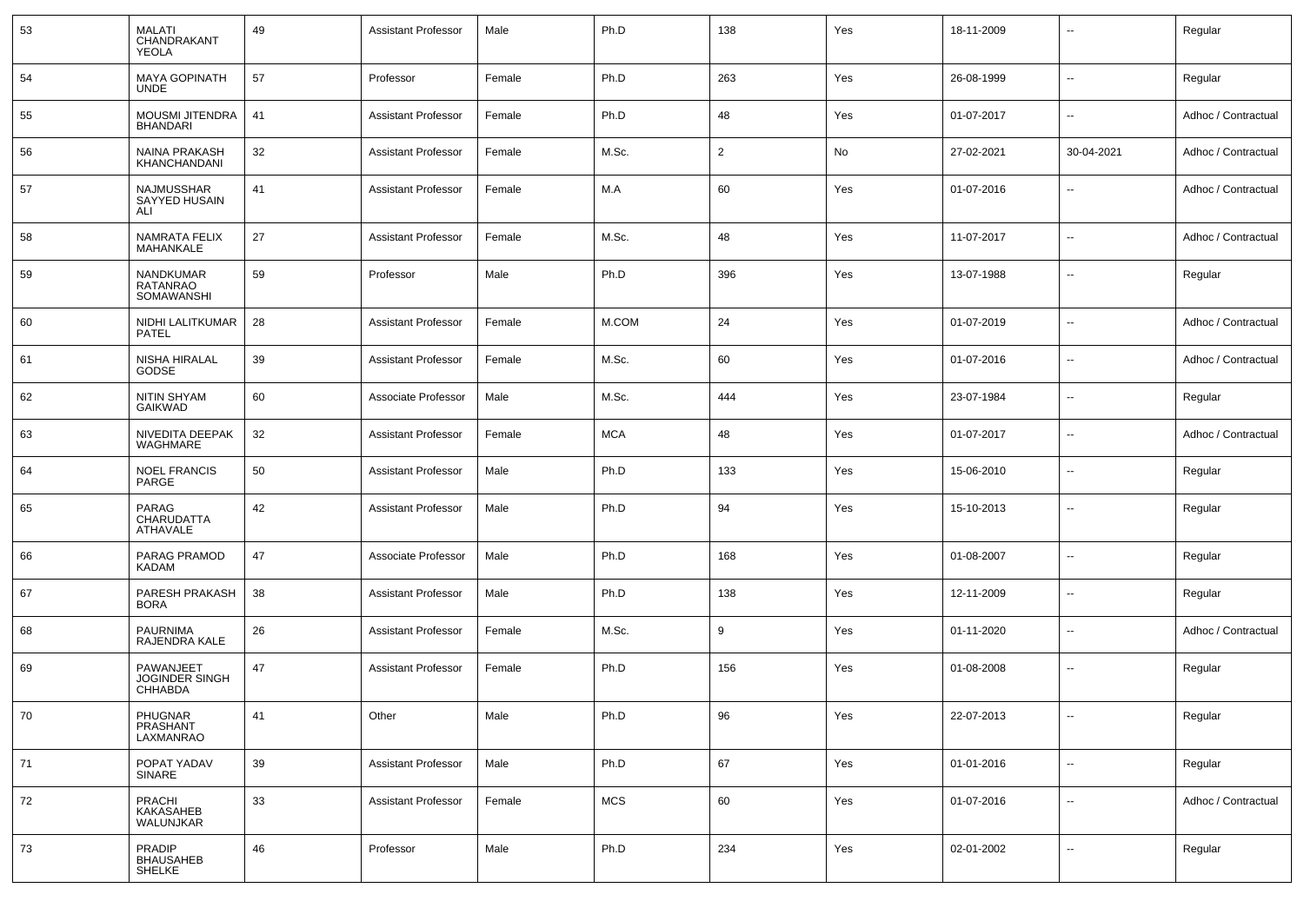| 53 | <b>MALATI</b><br>CHANDRAKANT<br><b>YEOLA</b>         | 49 | <b>Assistant Professor</b> | Male   | Ph.D       | 138 | Yes | 18-11-2009 | $\overline{\phantom{a}}$ | Regular             |
|----|------------------------------------------------------|----|----------------------------|--------|------------|-----|-----|------------|--------------------------|---------------------|
| 54 | <b>MAYA GOPINATH</b><br><b>UNDE</b>                  | 57 | Professor                  | Female | Ph.D       | 263 | Yes | 26-08-1999 | $\sim$                   | Regular             |
| 55 | <b>MOUSMI JITENDRA</b><br><b>BHANDARI</b>            | 41 | <b>Assistant Professor</b> | Female | Ph.D       | 48  | Yes | 01-07-2017 | $\overline{\phantom{a}}$ | Adhoc / Contractual |
| 56 | <b>NAINA PRAKASH</b><br>KHANCHANDANI                 | 32 | <b>Assistant Professor</b> | Female | M.Sc.      | 2   | No  | 27-02-2021 | 30-04-2021               | Adhoc / Contractual |
| 57 | NAJMUSSHAR<br>SAYYED HUSAIN<br>ALI                   | 41 | <b>Assistant Professor</b> | Female | M.A        | 60  | Yes | 01-07-2016 | $\overline{\phantom{a}}$ | Adhoc / Contractual |
| 58 | NAMRATA FELIX<br>MAHANKALE                           | 27 | <b>Assistant Professor</b> | Female | M.Sc.      | 48  | Yes | 11-07-2017 | $\mathbf{u}$             | Adhoc / Contractual |
| 59 | NANDKUMAR<br>RATANRAO<br>SOMAWANSHI                  | 59 | Professor                  | Male   | Ph.D       | 396 | Yes | 13-07-1988 | $\overline{\phantom{a}}$ | Regular             |
| 60 | NIDHI LALITKUMAR<br><b>PATEL</b>                     | 28 | <b>Assistant Professor</b> | Female | M.COM      | 24  | Yes | 01-07-2019 | $\overline{\phantom{a}}$ | Adhoc / Contractual |
| 61 | NISHA HIRALAL<br><b>GODSE</b>                        | 39 | <b>Assistant Professor</b> | Female | M.Sc.      | 60  | Yes | 01-07-2016 | $\overline{\phantom{a}}$ | Adhoc / Contractual |
| 62 | NITIN SHYAM<br><b>GAIKWAD</b>                        | 60 | Associate Professor        | Male   | M.Sc.      | 444 | Yes | 23-07-1984 | $\sim$                   | Regular             |
| 63 | NIVEDITA DEEPAK<br><b>WAGHMARE</b>                   | 32 | <b>Assistant Professor</b> | Female | <b>MCA</b> | 48  | Yes | 01-07-2017 | $\overline{\phantom{a}}$ | Adhoc / Contractual |
| 64 | <b>NOEL FRANCIS</b><br>PARGE                         | 50 | <b>Assistant Professor</b> | Male   | Ph.D       | 133 | Yes | 15-06-2010 | $\overline{\phantom{a}}$ | Regular             |
| 65 | <b>PARAG</b><br>CHARUDATTA<br>ATHAVALE               | 42 | <b>Assistant Professor</b> | Male   | Ph.D       | 94  | Yes | 15-10-2013 | $\overline{\phantom{a}}$ | Regular             |
| 66 | PARAG PRAMOD<br><b>KADAM</b>                         | 47 | Associate Professor        | Male   | Ph.D       | 168 | Yes | 01-08-2007 | $\overline{\phantom{a}}$ | Regular             |
| 67 | PARESH PRAKASH<br><b>BORA</b>                        | 38 | <b>Assistant Professor</b> | Male   | Ph.D       | 138 | Yes | 12-11-2009 | $\overline{\phantom{a}}$ | Regular             |
| 68 | <b>PAURNIMA</b><br>RAJENDRA KALE                     | 26 | <b>Assistant Professor</b> | Female | M.Sc.      | 9   | Yes | 01-11-2020 | $\overline{\phantom{a}}$ | Adhoc / Contractual |
| 69 | PAWANJEET<br><b>JOGINDER SINGH</b><br><b>CHHABDA</b> | 47 | <b>Assistant Professor</b> | Female | Ph.D       | 156 | Yes | 01-08-2008 | $\overline{\phantom{a}}$ | Regular             |
| 70 | PHUGNAR<br>PRASHANT<br>LAXMANRAO                     | 41 | Other                      | Male   | Ph.D       | 96  | Yes | 22-07-2013 | $\overline{\phantom{a}}$ | Regular             |
| 71 | POPAT YADAV<br>SINARE                                | 39 | <b>Assistant Professor</b> | Male   | Ph.D       | 67  | Yes | 01-01-2016 | ۰.                       | Regular             |
| 72 | PRACHI<br>KAKASAHEB<br>WALUNJKAR                     | 33 | <b>Assistant Professor</b> | Female | MCS        | 60  | Yes | 01-07-2016 | $\overline{\phantom{a}}$ | Adhoc / Contractual |
| 73 | PRADIP<br>BHAUSAHEB<br>SHELKE                        | 46 | Professor                  | Male   | Ph.D       | 234 | Yes | 02-01-2002 | $\overline{\phantom{a}}$ | Regular             |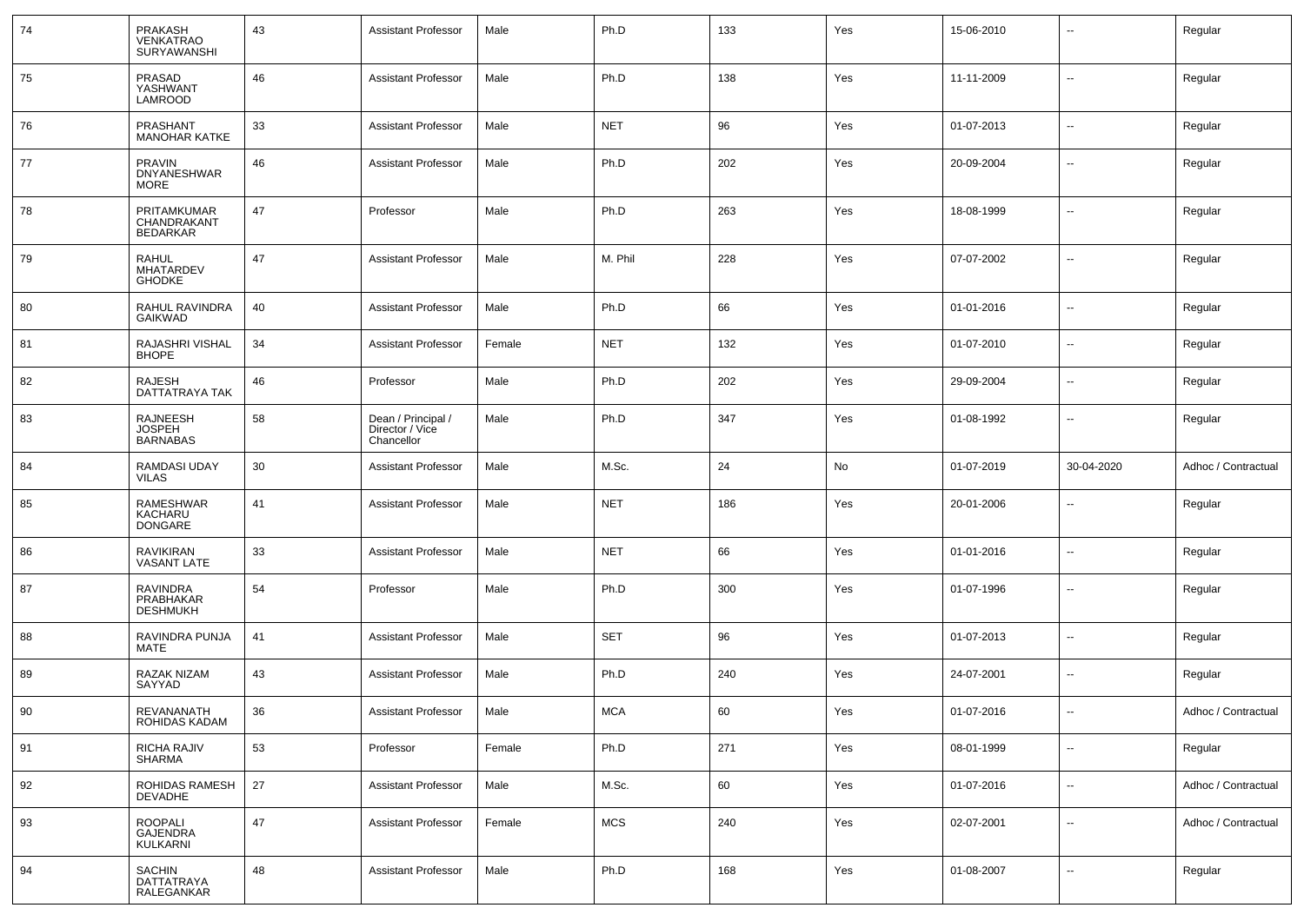| 74 | <b>PRAKASH</b><br>VENKATRAO<br><b>SURYAWANSHI</b>   | 43     | <b>Assistant Professor</b>                          | Male   | Ph.D       | 133 | Yes | 15-06-2010 | --                       | Regular             |
|----|-----------------------------------------------------|--------|-----------------------------------------------------|--------|------------|-----|-----|------------|--------------------------|---------------------|
| 75 | PRASAD<br>YASHWANT<br>LAMROOD                       | 46     | <b>Assistant Professor</b>                          | Male   | Ph.D       | 138 | Yes | 11-11-2009 | Ξ.                       | Regular             |
| 76 | <b>PRASHANT</b><br><b>MANOHAR KATKE</b>             | 33     | <b>Assistant Professor</b>                          | Male   | <b>NET</b> | 96  | Yes | 01-07-2013 | $\overline{a}$           | Regular             |
| 77 | <b>PRAVIN</b><br><b>DNYANESHWAR</b><br><b>MORE</b>  | 46     | <b>Assistant Professor</b>                          | Male   | Ph.D       | 202 | Yes | 20-09-2004 | --                       | Regular             |
| 78 | PRITAMKUMAR<br>CHANDRAKANT<br><b>BEDARKAR</b>       | 47     | Professor                                           | Male   | Ph.D       | 263 | Yes | 18-08-1999 | --                       | Regular             |
| 79 | <b>RAHUL</b><br>MHATARDEV<br><b>GHODKE</b>          | 47     | <b>Assistant Professor</b>                          | Male   | M. Phil    | 228 | Yes | 07-07-2002 | --                       | Regular             |
| 80 | RAHUL RAVINDRA<br>GAIKWAD                           | 40     | <b>Assistant Professor</b>                          | Male   | Ph.D       | 66  | Yes | 01-01-2016 | --                       | Regular             |
| 81 | RAJASHRI VISHAL<br><b>BHOPE</b>                     | 34     | <b>Assistant Professor</b>                          | Female | <b>NET</b> | 132 | Yes | 01-07-2010 | $\overline{\phantom{a}}$ | Regular             |
| 82 | <b>RAJESH</b><br>DATTATRAYA TAK                     | 46     | Professor                                           | Male   | Ph.D       | 202 | Yes | 29-09-2004 | ۰.                       | Regular             |
| 83 | <b>RAJNEESH</b><br><b>JOSPEH</b><br><b>BARNABAS</b> | 58     | Dean / Principal /<br>Director / Vice<br>Chancellor | Male   | Ph.D       | 347 | Yes | 01-08-1992 | ۰.                       | Regular             |
| 84 | <b>RAMDASI UDAY</b><br><b>VILAS</b>                 | 30     | <b>Assistant Professor</b>                          | Male   | M.Sc.      | 24  | No  | 01-07-2019 | 30-04-2020               | Adhoc / Contractual |
| 85 | RAMESHWAR<br>KACHARU<br>DONGARE                     | 41     | <b>Assistant Professor</b>                          | Male   | <b>NET</b> | 186 | Yes | 20-01-2006 | $\overline{\phantom{a}}$ | Regular             |
| 86 | RAVIKIRAN<br><b>VASANT LATE</b>                     | 33     | <b>Assistant Professor</b>                          | Male   | <b>NET</b> | 66  | Yes | 01-01-2016 | $\sim$                   | Regular             |
| 87 | <b>RAVINDRA</b><br>PRABHAKAR<br><b>DESHMUKH</b>     | 54     | Professor                                           | Male   | Ph.D       | 300 | Yes | 01-07-1996 | $\overline{a}$           | Regular             |
| 88 | RAVINDRA PUNJA<br>MATE                              | 41     | <b>Assistant Professor</b>                          | Male   | <b>SET</b> | 96  | Yes | 01-07-2013 | --                       | Regular             |
| 89 | <b>RAZAK NIZAM</b><br>SAYYAD                        | 43     | <b>Assistant Professor</b>                          | Male   | Ph.D       | 240 | Yes | 24-07-2001 | --                       | Regular             |
| 90 | REVANANATH<br>ROHIDAS KADAM                         | 36     | Assistant Professor                                 | Male   | <b>MCA</b> | 60  | Yes | 01-07-2016 |                          | Adhoc / Contractual |
| 91 | RICHA RAJIV<br>SHARMA                               | 53     | Professor                                           | Female | Ph.D       | 271 | Yes | 08-01-1999 | $\overline{\phantom{a}}$ | Regular             |
| 92 | ROHIDAS RAMESH<br><b>DEVADHE</b>                    | 27     | <b>Assistant Professor</b>                          | Male   | M.Sc.      | 60  | Yes | 01-07-2016 | $\sim$                   | Adhoc / Contractual |
| 93 | ROOPALI<br>GAJENDRA<br>KULKARNI                     | $47\,$ | <b>Assistant Professor</b>                          | Female | <b>MCS</b> | 240 | Yes | 02-07-2001 | Ξ.                       | Adhoc / Contractual |
| 94 | SACHIN<br>DATTATRAYA<br>RALEGANKAR                  | 48     | <b>Assistant Professor</b>                          | Male   | Ph.D       | 168 | Yes | 01-08-2007 | $\sim$                   | Regular             |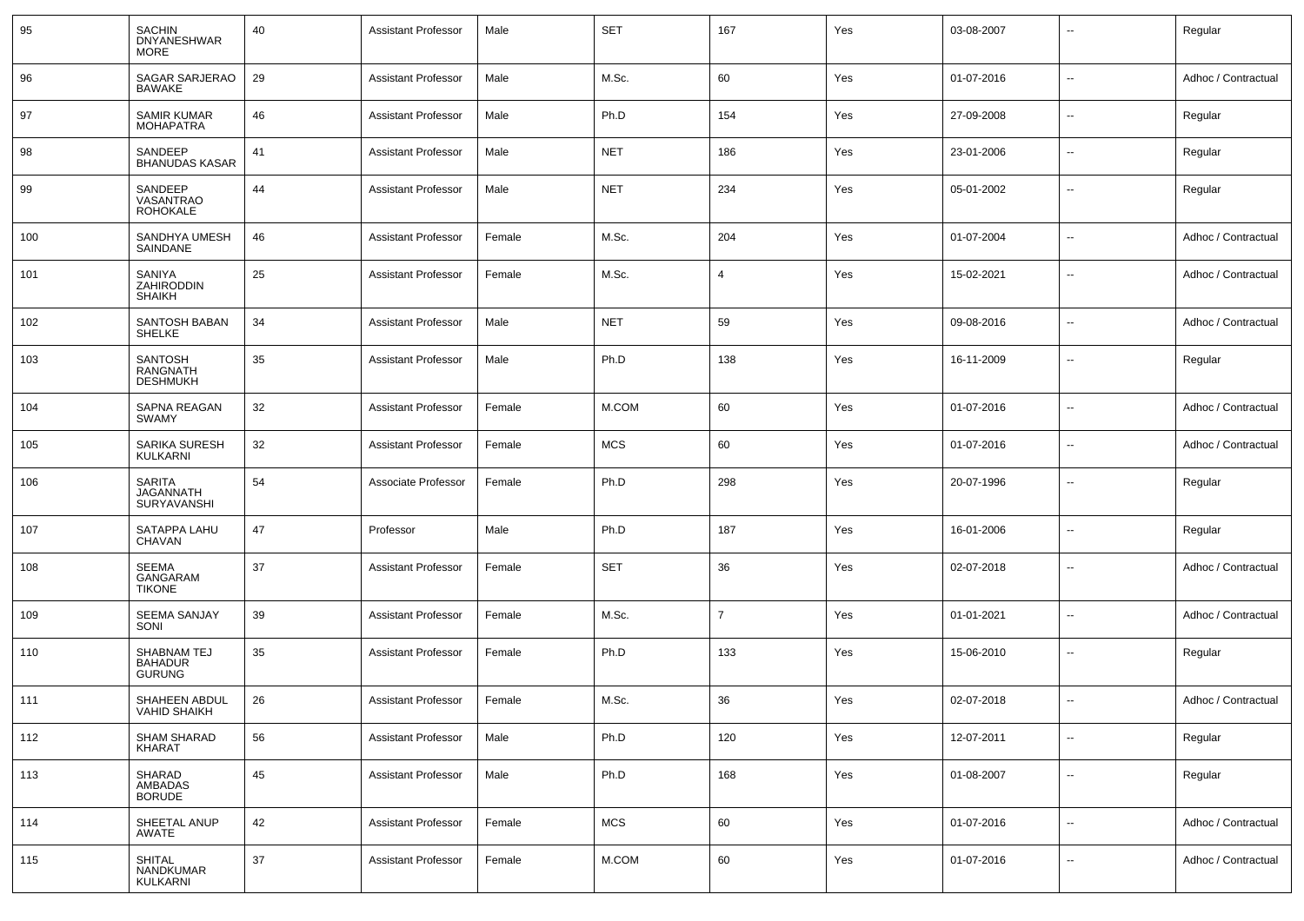| 95  | <b>SACHIN</b><br><b>DNYANESHWAR</b><br><b>MORE</b>   | 40 | <b>Assistant Professor</b> | Male   | <b>SET</b> | 167            | Yes | 03-08-2007 | $\overline{\phantom{a}}$ | Regular             |
|-----|------------------------------------------------------|----|----------------------------|--------|------------|----------------|-----|------------|--------------------------|---------------------|
| 96  | SAGAR SARJERAO<br>BAWAKE                             | 29 | <b>Assistant Professor</b> | Male   | M.Sc.      | 60             | Yes | 01-07-2016 | $\overline{\phantom{a}}$ | Adhoc / Contractual |
| 97  | <b>SAMIR KUMAR</b><br><b>MOHAPATRA</b>               | 46 | <b>Assistant Professor</b> | Male   | Ph.D       | 154            | Yes | 27-09-2008 | $\overline{\phantom{a}}$ | Regular             |
| 98  | SANDEEP<br><b>BHANUDAS KASAR</b>                     | 41 | <b>Assistant Professor</b> | Male   | <b>NET</b> | 186            | Yes | 23-01-2006 | --                       | Regular             |
| 99  | SANDEEP<br>VASANTRAO<br><b>ROHOKALE</b>              | 44 | <b>Assistant Professor</b> | Male   | <b>NET</b> | 234            | Yes | 05-01-2002 | --                       | Regular             |
| 100 | SANDHYA UMESH<br>SAINDANE                            | 46 | <b>Assistant Professor</b> | Female | M.Sc.      | 204            | Yes | 01-07-2004 | $\overline{\phantom{a}}$ | Adhoc / Contractual |
| 101 | SANIYA<br>ZAHIRODDIN<br><b>SHAIKH</b>                | 25 | <b>Assistant Professor</b> | Female | M.Sc.      | 4              | Yes | 15-02-2021 | $\overline{\phantom{a}}$ | Adhoc / Contractual |
| 102 | SANTOSH BABAN<br><b>SHELKE</b>                       | 34 | <b>Assistant Professor</b> | Male   | <b>NET</b> | 59             | Yes | 09-08-2016 | $\overline{\phantom{a}}$ | Adhoc / Contractual |
| 103 | <b>SANTOSH</b><br><b>RANGNATH</b><br><b>DESHMUKH</b> | 35 | <b>Assistant Professor</b> | Male   | Ph.D       | 138            | Yes | 16-11-2009 | $\overline{\phantom{a}}$ | Regular             |
| 104 | SAPNA REAGAN<br>SWAMY                                | 32 | <b>Assistant Professor</b> | Female | M.COM      | 60             | Yes | 01-07-2016 | $\overline{\phantom{a}}$ | Adhoc / Contractual |
| 105 | SARIKA SURESH<br>KULKARNI                            | 32 | <b>Assistant Professor</b> | Female | <b>MCS</b> | 60             | Yes | 01-07-2016 | --                       | Adhoc / Contractual |
| 106 | <b>SARITA</b><br>JAGANNATH<br>SURYAVANSHI            | 54 | Associate Professor        | Female | Ph.D       | 298            | Yes | 20-07-1996 | $\overline{\phantom{a}}$ | Regular             |
| 107 | SATAPPA LAHU<br>CHAVAN                               | 47 | Professor                  | Male   | Ph.D       | 187            | Yes | 16-01-2006 | $\overline{\phantom{a}}$ | Regular             |
| 108 | SEEMA<br>GANGARAM<br><b>TIKONE</b>                   | 37 | <b>Assistant Professor</b> | Female | <b>SET</b> | 36             | Yes | 02-07-2018 | $\overline{\phantom{a}}$ | Adhoc / Contractual |
| 109 | <b>SEEMA SANJAY</b><br>SONI                          | 39 | <b>Assistant Professor</b> | Female | M.Sc.      | $\overline{7}$ | Yes | 01-01-2021 | $\overline{\phantom{a}}$ | Adhoc / Contractual |
| 110 | SHABNAM TEJ<br><b>BAHADUR</b><br><b>GURUNG</b>       | 35 | <b>Assistant Professor</b> | Female | Ph.D       | 133            | Yes | 15-06-2010 | --                       | Regular             |
| 111 | SHAHEEN ABDUL<br>VAHID SHAIKH                        | 26 | <b>Assistant Professor</b> | Female | M.Sc.      | 36             | Yes | 02-07-2018 | $\overline{\phantom{a}}$ | Adhoc / Contractual |
| 112 | <b>SHAM SHARAD</b><br>KHARAT                         | 56 | <b>Assistant Professor</b> | Male   | Ph.D       | 120            | Yes | 12-07-2011 | $\overline{\phantom{a}}$ | Regular             |
| 113 | SHARAD<br>AMBADAS<br><b>BORUDE</b>                   | 45 | <b>Assistant Professor</b> | Male   | Ph.D       | 168            | Yes | 01-08-2007 | $\overline{\phantom{a}}$ | Regular             |
| 114 | SHEETAL ANUP<br>AWATE                                | 42 | <b>Assistant Professor</b> | Female | <b>MCS</b> | 60             | Yes | 01-07-2016 | $\sim$                   | Adhoc / Contractual |
| 115 | <b>SHITAL</b><br>NANDKUMAR<br>KULKARNI               | 37 | <b>Assistant Professor</b> | Female | M.COM      | 60             | Yes | 01-07-2016 | $\sim$                   | Adhoc / Contractual |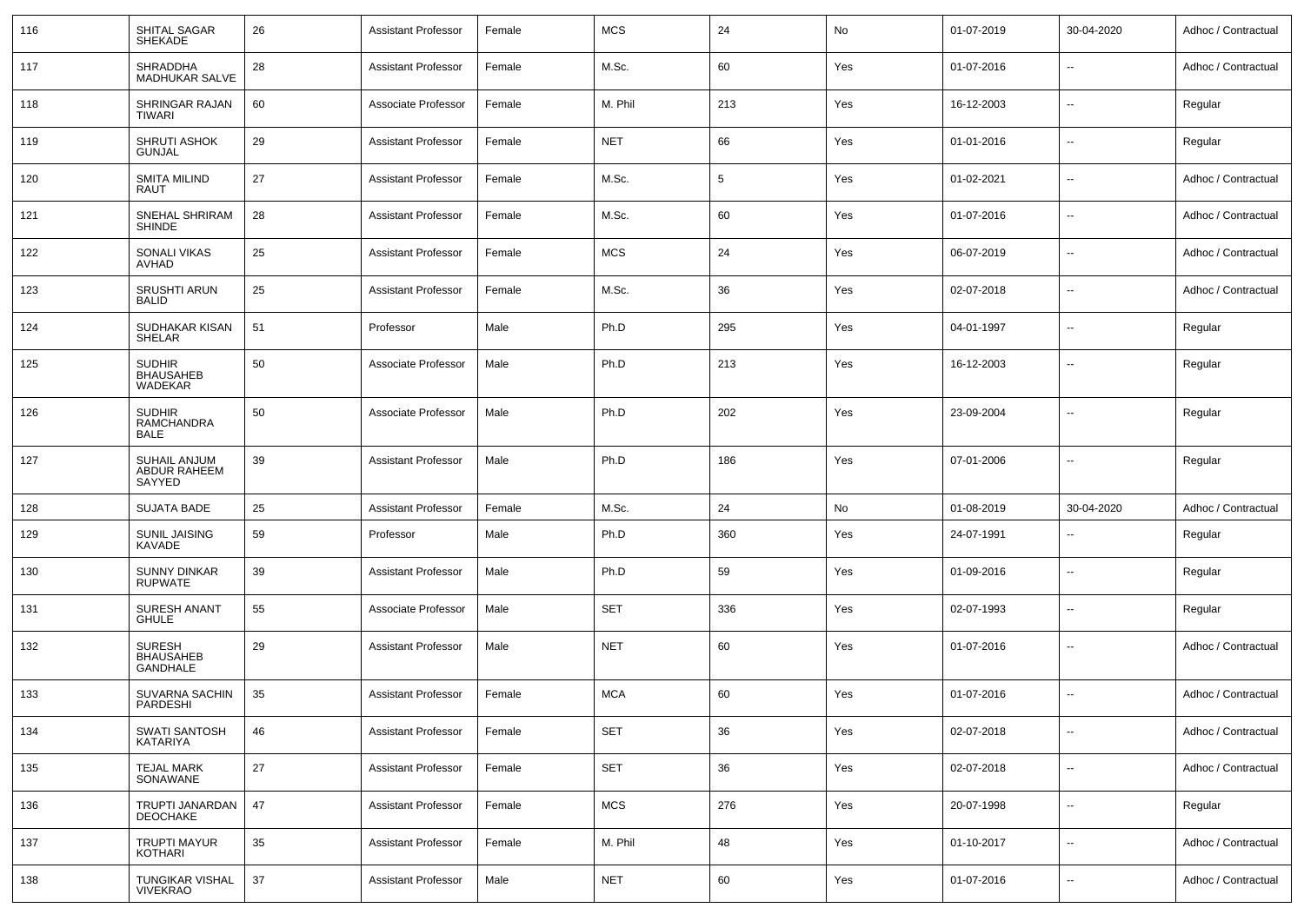| 116 | SHITAL SAGAR<br><b>SHEKADE</b>                       | 26 | <b>Assistant Professor</b> | Female | <b>MCS</b> | 24  | No  | 01-07-2019 | 30-04-2020               | Adhoc / Contractual |
|-----|------------------------------------------------------|----|----------------------------|--------|------------|-----|-----|------------|--------------------------|---------------------|
| 117 | <b>SHRADDHA</b><br><b>MADHUKAR SALVE</b>             | 28 | <b>Assistant Professor</b> | Female | M.Sc.      | 60  | Yes | 01-07-2016 | --                       | Adhoc / Contractual |
| 118 | SHRINGAR RAJAN<br>TIWARI                             | 60 | Associate Professor        | Female | M. Phil    | 213 | Yes | 16-12-2003 | --                       | Regular             |
| 119 | <b>SHRUTI ASHOK</b><br><b>GUNJAL</b>                 | 29 | <b>Assistant Professor</b> | Female | <b>NET</b> | 66  | Yes | 01-01-2016 | $\overline{\phantom{a}}$ | Regular             |
| 120 | SMITA MILIND<br>RAUT                                 | 27 | <b>Assistant Professor</b> | Female | M.Sc.      | 5   | Yes | 01-02-2021 | --                       | Adhoc / Contractual |
| 121 | SNEHAL SHRIRAM<br><b>SHINDE</b>                      | 28 | <b>Assistant Professor</b> | Female | M.Sc.      | 60  | Yes | 01-07-2016 | --                       | Adhoc / Contractual |
| 122 | <b>SONALI VIKAS</b><br>AVHAD                         | 25 | <b>Assistant Professor</b> | Female | <b>MCS</b> | 24  | Yes | 06-07-2019 | --                       | Adhoc / Contractual |
| 123 | <b>SRUSHTI ARUN</b><br><b>BALID</b>                  | 25 | <b>Assistant Professor</b> | Female | M.Sc.      | 36  | Yes | 02-07-2018 | --                       | Adhoc / Contractual |
| 124 | SUDHAKAR KISAN<br><b>SHELAR</b>                      | 51 | Professor                  | Male   | Ph.D       | 295 | Yes | 04-01-1997 | --                       | Regular             |
| 125 | <b>SUDHIR</b><br><b>BHAUSAHEB</b><br>WADEKAR         | 50 | Associate Professor        | Male   | Ph.D       | 213 | Yes | 16-12-2003 | --                       | Regular             |
| 126 | <b>SUDHIR</b><br><b>RAMCHANDRA</b><br><b>BALE</b>    | 50 | Associate Professor        | Male   | Ph.D       | 202 | Yes | 23-09-2004 | $\overline{\phantom{a}}$ | Regular             |
| 127 | SUHAIL ANJUM<br>ABDUR RAHEEM<br>SAYYED               | 39 | <b>Assistant Professor</b> | Male   | Ph.D       | 186 | Yes | 07-01-2006 | $\overline{\phantom{a}}$ | Regular             |
| 128 | <b>SUJATA BADE</b>                                   | 25 | <b>Assistant Professor</b> | Female | M.Sc.      | 24  | No  | 01-08-2019 | 30-04-2020               | Adhoc / Contractual |
| 129 | SUNIL JAISING<br>KAVADE                              | 59 | Professor                  | Male   | Ph.D       | 360 | Yes | 24-07-1991 | $\overline{\phantom{a}}$ | Regular             |
| 130 | <b>SUNNY DINKAR</b><br><b>RUPWATE</b>                | 39 | <b>Assistant Professor</b> | Male   | Ph.D       | 59  | Yes | 01-09-2016 | $\overline{\phantom{a}}$ | Regular             |
| 131 | <b>SURESH ANANT</b><br><b>GHULE</b>                  | 55 | Associate Professor        | Male   | <b>SET</b> | 336 | Yes | 02-07-1993 | $\overline{\phantom{a}}$ | Regular             |
| 132 | <b>SURESH</b><br><b>BHAUSAHEB</b><br><b>GANDHALE</b> | 29 | <b>Assistant Professor</b> | Male   | <b>NET</b> | 60  | Yes | 01-07-2016 | $\overline{\phantom{a}}$ | Adhoc / Contractual |
| 133 | SUVARNA SACHIN<br>PARDESHI                           | 35 | <b>Assistant Professor</b> | Female | <b>MCA</b> | 60  | Yes | 01-07-2016 | $\overline{\phantom{a}}$ | Adhoc / Contractual |
| 134 | SWATI SANTOSH<br>KATARIYA                            | 46 | <b>Assistant Professor</b> | Female | <b>SET</b> | 36  | Yes | 02-07-2018 | --                       | Adhoc / Contractual |
| 135 | TEJAL MARK<br>SONAWANE                               | 27 | <b>Assistant Professor</b> | Female | <b>SET</b> | 36  | Yes | 02-07-2018 | $\sim$                   | Adhoc / Contractual |
| 136 | TRUPTI JANARDAN<br><b>DEOCHAKE</b>                   | 47 | <b>Assistant Professor</b> | Female | <b>MCS</b> | 276 | Yes | 20-07-1998 | $\overline{\phantom{a}}$ | Regular             |
| 137 | <b>TRUPTI MAYUR</b><br><b>KOTHARI</b>                | 35 | <b>Assistant Professor</b> | Female | M. Phil    | 48  | Yes | 01-10-2017 | --                       | Adhoc / Contractual |
| 138 | TUNGIKAR VISHAL<br><b>VIVEKRAO</b>                   | 37 | <b>Assistant Professor</b> | Male   | <b>NET</b> | 60  | Yes | 01-07-2016 | $\overline{\phantom{a}}$ | Adhoc / Contractual |